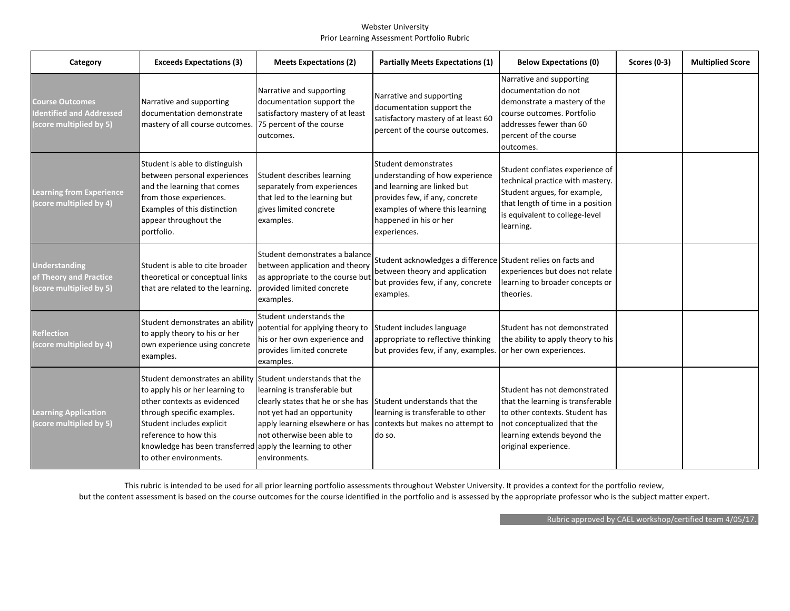## Webster University Prior Learning Assessment Portfolio Rubric

| Category                                                                     | <b>Exceeds Expectations (3)</b>                                                                                                                                                                                                                                                                            | <b>Meets Expectations (2)</b>                                                                                                                                               | <b>Partially Meets Expectations (1)</b>                                                                                                                                                               | <b>Below Expectations (0)</b>                                                                                                                                                             | <b>Scores (0-3)</b> | <b>Multiplied Score</b> |
|------------------------------------------------------------------------------|------------------------------------------------------------------------------------------------------------------------------------------------------------------------------------------------------------------------------------------------------------------------------------------------------------|-----------------------------------------------------------------------------------------------------------------------------------------------------------------------------|-------------------------------------------------------------------------------------------------------------------------------------------------------------------------------------------------------|-------------------------------------------------------------------------------------------------------------------------------------------------------------------------------------------|---------------------|-------------------------|
| <b>Course Outcomes</b><br>dentified and Addressed<br>(score multiplied by 5) | Narrative and supporting<br>documentation demonstrate<br>mastery of all course outcomes.                                                                                                                                                                                                                   | Narrative and supporting<br>documentation support the<br>satisfactory mastery of at least<br>75 percent of the course<br>outcomes.                                          | Narrative and supporting<br>documentation support the<br>satisfactory mastery of at least 60<br>percent of the course outcomes.                                                                       | Narrative and supporting<br>Idocumentation do not<br>demonstrate a mastery of the<br>course outcomes. Portfolio<br>addresses fewer than 60<br>percent of the course<br>outcomes.          |                     |                         |
| <b>Learning from Experience</b><br>(score multiplied by 4)                   | Student is able to distinguish<br>between personal experiences<br>and the learning that comes<br>from those experiences.<br>Examples of this distinction<br>appear throughout the<br>portfolio.                                                                                                            | Student describes learning<br>separately from experiences<br>that led to the learning but<br>gives limited concrete<br>examples.                                            | Student demonstrates<br>understanding of how experience<br>and learning are linked but<br>provides few, if any, concrete<br>examples of where this learning<br>happened in his or her<br>experiences. | Student conflates experience of<br>technical practice with mastery.<br>Student argues, for example,<br>that length of time in a position<br>is equivalent to college-level<br>learning.   |                     |                         |
| <b>Understanding</b><br>of Theory and Practice<br>(score multiplied by 5)    | Student is able to cite broader<br>theoretical or conceptual links<br>that are related to the learning.                                                                                                                                                                                                    | Student demonstrates a balance<br>between application and theory<br>as appropriate to the course but<br>provided limited concrete<br>examples.                              | Student acknowledges a difference Student relies on facts and<br>between theory and application<br>but provides few, if any, concrete<br>examples.                                                    | experiences but does not relate<br>learning to broader concepts or<br>theories.                                                                                                           |                     |                         |
| <b>Reflection</b><br>(score multiplied by 4)                                 | Student demonstrates an ability<br>to apply theory to his or her<br>own experience using concrete<br>examples.                                                                                                                                                                                             | Student understands the<br>potential for applying theory to<br>his or her own experience and<br>provides limited concrete<br>examples.                                      | Student includes language<br>appropriate to reflective thinking<br>but provides few, if any, examples. or her own experiences.                                                                        | Student has not demonstrated<br>the ability to apply theory to his                                                                                                                        |                     |                         |
| <b>Learning Application</b><br>(score multiplied by 5)                       | Student demonstrates an ability Student understands that the<br>to apply his or her learning to<br>other contexts as evidenced<br>through specific examples.<br>Student includes explicit<br>reference to how this<br>knowledge has been transferred apply the learning to other<br>to other environments. | learning is transferable but<br>clearly states that he or she has Student understands that the<br>not yet had an opportunity<br>not otherwise been able to<br>environments. | learning is transferable to other<br>apply learning elsewhere or has contexts but makes no attempt to<br>do so.                                                                                       | Student has not demonstrated<br>that the learning is transferable<br>to other contexts. Student has<br>not conceptualized that the<br>learning extends beyond the<br>original experience. |                     |                         |

This rubric is intended to be used for all prior learning portfolio assessments throughout Webster University. It provides a context for the portfolio review, but the content assessment is based on the course outcomes for the course identified in the portfolio and is assessed by the appropriate professor who is the subject matter expert.

Rubric approved by CAEL workshop/certified team 4/05/17.